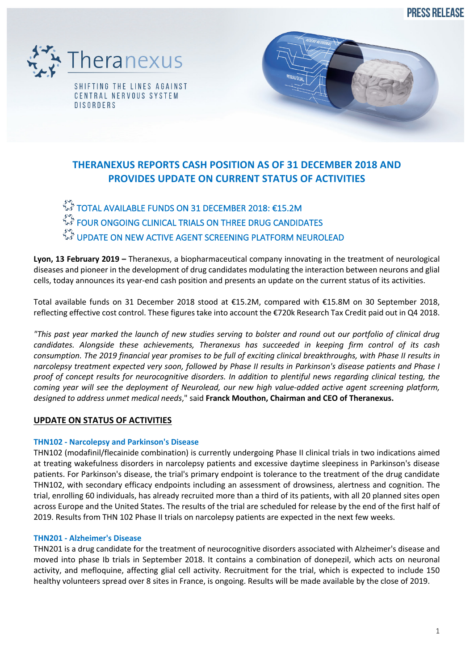**PRESS RELEASE** 





TOTAL AVAILABLE FUNDS ON 31 DECEMBER 2018: €15.2M  $\mathbb{R}^4$  FOUR ONGOING CLINICAL TRIALS ON THREE DRUG CANDIDATES.  $\hat{\vec{r}}$  UPDATE ON NEW ACTIVE AGENT SCREENING PLATFORM NEUROLEAD

**Lyon, 13 February 2019 –** Theranexus, a biopharmaceutical company innovating in the treatment of neurological diseases and pioneer in the development of drug candidates modulating the interaction between neurons and glial cells, today announces its year-end cash position and presents an update on the current status of its activities.

Total available funds on 31 December 2018 stood at €15.2M, compared with €15.8M on 30 September 2018, reflecting effective cost control. These figures take into account the €720k Research Tax Credit paid out in Q4 2018.

*"This past year marked the launch of new studies serving to bolster and round out our portfolio of clinical drug candidates. Alongside these achievements, Theranexus has succeeded in keeping firm control of its cash consumption. The 2019 financial year promises to be full of exciting clinical breakthroughs, with Phase II results in narcolepsy treatment expected very soon, followed by Phase II results in Parkinson's disease patients and Phase I proof of concept results for neurocognitive disorders. In addition to plentiful news regarding clinical testing, the coming year will see the deployment of Neurolead, our new high value-added active agent screening platform, designed to address unmet medical needs*," said **Franck Mouthon, Chairman and CEO of Theranexus.**

# **UPDATE ON STATUS OF ACTIVITIES**

## **THN102 - Narcolepsy and Parkinson's Disease**

THN102 (modafinil/flecainide combination) is currently undergoing Phase II clinical trials in two indications aimed at treating wakefulness disorders in narcolepsy patients and excessive daytime sleepiness in Parkinson's disease patients. For Parkinson's disease, the trial's primary endpoint is tolerance to the treatment of the drug candidate THN102, with secondary efficacy endpoints including an assessment of drowsiness, alertness and cognition. The trial, enrolling 60 individuals, has already recruited more than a third of its patients, with all 20 planned sites open across Europe and the United States. The results of the trial are scheduled for release by the end of the first half of 2019. Results from THN 102 Phase II trials on narcolepsy patients are expected in the next few weeks.

### **THN201 - Alzheimer's Disease**

THN201 is a drug candidate for the treatment of neurocognitive disorders associated with Alzheimer's disease and moved into phase Ib trials in September 2018. It contains a combination of donepezil, which acts on neuronal activity, and mefloquine, affecting glial cell activity. Recruitment for the trial, which is expected to include 150 healthy volunteers spread over 8 sites in France, is ongoing. Results will be made available by the close of 2019.